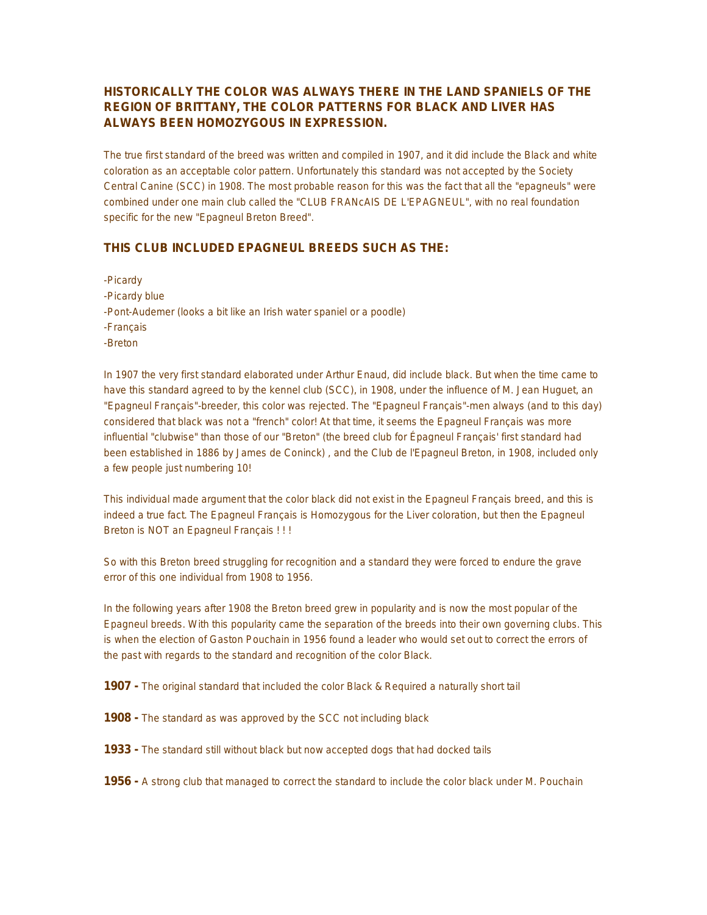## **HISTORICALLY THE COLOR WAS ALWAYS THERE IN THE LAND SPANIELS OF THE REGION OF BRITTANY, THE COLOR PATTERNS FOR BLACK AND LIVER HAS ALWAYS BEEN HOMOZYGOUS IN EXPRESSION.**

The true first standard of the breed was written and compiled in 1907, and it did include the Black and white coloration as an acceptable color pattern. Unfortunately this standard was not accepted by the Society Central Canine (SCC) in 1908. The most probable reason for this was the fact that all the "epagneuls" were combined under one main club called the "CLUB FRANcAIS DE L'EPAGNEUL", with no real foundation specific for the new "Epagneul Breton Breed".

#### **THIS CLUB INCLUDED EPAGNEUL BREEDS SUCH AS THE:**

-Picardy -Picardy blue -Pont-Audemer (looks a bit like an Irish water spaniel or a poodle) -Français -Breton

In 1907 the very first standard elaborated under Arthur Enaud, did include black. But when the time came to have this standard agreed to by the kennel club (SCC), in 1908, under the influence of M. Jean Huguet, an "Epagneul Français"-breeder, this color was rejected. The "Epagneul Français"-men always (and to this day) considered that black was not a "french" color! At that time, it seems the Epagneul Français was more influential "clubwise" than those of our "Breton" (the breed club for Épagneul Français' first standard had been established in 1886 by James de Coninck) , and the Club de l'Epagneul Breton, in 1908, included only a few people just numbering 10!

This individual made argument that the color black did not exist in the Epagneul Français breed, and this is indeed a true fact. The Epagneul Français is Homozygous for the Liver coloration, but then the Epagneul Breton is NOT an Epagneul Français ! ! !

So with this Breton breed struggling for recognition and a standard they were forced to endure the grave error of this one individual from 1908 to 1956.

In the following years after 1908 the Breton breed grew in popularity and is now the most popular of the Epagneul breeds. With this popularity came the separation of the breeds into their own governing clubs. This is when the election of Gaston Pouchain in 1956 found a leader who would set out to correct the errors of the past with regards to the standard and recognition of the color Black.

**1907 -** The original standard that included the color Black & Required a naturally short tail

- **1908 -** The standard as was approved by the SCC not including black
- **1933 -** The standard still without black but now accepted dogs that had docked tails

**1956 -** A strong club that managed to correct the standard to include the color black under M. Pouchain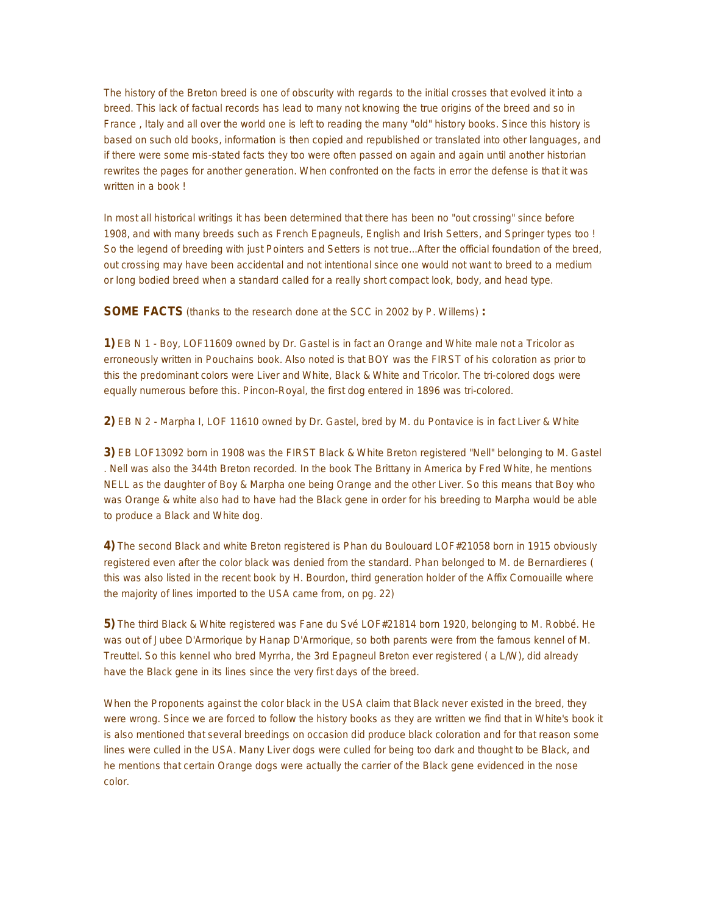The history of the Breton breed is one of obscurity with regards to the initial crosses that evolved it into a breed. This lack of factual records has lead to many not knowing the true origins of the breed and so in France , Italy and all over the world one is left to reading the many "old" history books. Since this history is based on such old books, information is then copied and republished or translated into other languages, and if there were some mis-stated facts they too were often passed on again and again until another historian rewrites the pages for another generation. When confronted on the facts in error the defense is that it was written in a book !

In most all historical writings it has been determined that there has been no "out crossing" since before 1908, and with many breeds such as French Epagneuls, English and Irish Setters, and Springer types too ! So the legend of breeding with just Pointers and Setters is not true...After the official foundation of the breed, out crossing may have been accidental and not intentional since one would not want to breed to a medium or long bodied breed when a standard called for a really short compact look, body, and head type.

**SOME FACTS** (thanks to the research done at the SCC in 2002 by P. Willems) **:**

**1)** EB N 1 - Boy, LOF11609 owned by Dr. Gastel is in fact an Orange and White male not a Tricolor as erroneously written in Pouchains book. Also noted is that BOY was the FIRST of his coloration as prior to this the predominant colors were Liver and White, Black & White and Tricolor. The tri-colored dogs were equally numerous before this. Pincon-Royal, the first dog entered in 1896 was tri-colored.

**2)** EB N 2 - Marpha I, LOF 11610 owned by Dr. Gastel, bred by M. du Pontavice is in fact Liver & White

**3)** EB LOF13092 born in 1908 was the FIRST Black & White Breton registered "Nell" belonging to M. Gastel . Nell was also the 344th Breton recorded. In the book The Brittany in America by Fred White, he mentions NELL as the daughter of Boy & Marpha one being Orange and the other Liver. So this means that Boy who was Orange & white also had to have had the Black gene in order for his breeding to Marpha would be able to produce a Black and White dog.

**4)** The second Black and white Breton registered is Phan du Boulouard LOF#21058 born in 1915 obviously registered even after the color black was denied from the standard. Phan belonged to M. de Bernardieres ( this was also listed in the recent book by H. Bourdon, third generation holder of the Affix Cornouaille where the majority of lines imported to the USA came from, on pg. 22)

**5)** The third Black & White registered was Fane du Své LOF#21814 born 1920, belonging to M. Robbé. He was out of Jubee D'Armorique by Hanap D'Armorique, so both parents were from the famous kennel of M. Treuttel. So this kennel who bred Myrrha, the 3rd Epagneul Breton ever registered ( a L/W), did already have the Black gene in its lines since the very first days of the breed.

When the Proponents against the color black in the USA claim that Black never existed in the breed, they were wrong. Since we are forced to follow the history books as they are written we find that in White's book it is also mentioned that several breedings on occasion did produce black coloration and for that reason some lines were culled in the USA. Many Liver dogs were culled for being too dark and thought to be Black, and he mentions that certain Orange dogs were actually the carrier of the Black gene evidenced in the nose color.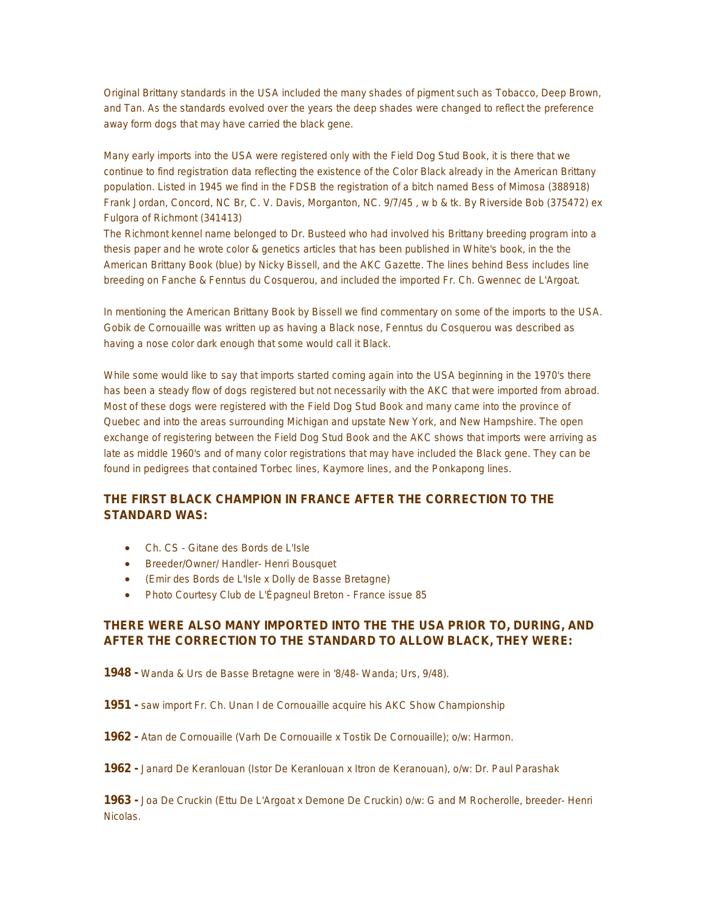Original Brittany standards in the USA included the many shades of pigment such as Tobacco, Deep Brown, and Tan. As the standards evolved over the years the deep shades were changed to reflect the preference away form dogs that may have carried the black gene.

Many early imports into the USA were registered only with the Field Dog Stud Book, it is there that we continue to find registration data reflecting the existence of the Color Black already in the American Brittany population. Listed in 1945 we find in the FDSB the registration of a bitch named Bess of Mimosa (388918) Frank Jordan, Concord, NC Br, C. V. Davis, Morganton, NC. 9/7/45 , w b & tk. By Riverside Bob (375472) ex Fulgora of Richmont (341413)

The Richmont kennel name belonged to Dr. Busteed who had involved his Brittany breeding program into a thesis paper and he wrote color & genetics articles that has been published in White's book, in the the American Brittany Book (blue) by Nicky Bissell, and the AKC Gazette. The lines behind Bess includes line breeding on Fanche & Fenntus du Cosquerou, and included the imported Fr. Ch. Gwennec de L'Argoat.

In mentioning the American Brittany Book by Bissell we find commentary on some of the imports to the USA. Gobik de Cornouaille was written up as having a Black nose, Fenntus du Cosquerou was described as having a nose color dark enough that some would call it Black.

While some would like to say that imports started coming again into the USA beginning in the 1970's there has been a steady flow of dogs registered but not necessarily with the AKC that were imported from abroad. Most of these dogs were registered with the Field Dog Stud Book and many came into the province of Quebec and into the areas surrounding Michigan and upstate New York, and New Hampshire. The open exchange of registering between the Field Dog Stud Book and the AKC shows that imports were arriving as late as middle 1960's and of many color registrations that may have included the Black gene. They can be found in pedigrees that contained Torbec lines, Kaymore lines, and the Ponkapong lines.

# **THE FIRST BLACK CHAMPION IN FRANCE AFTER THE CORRECTION TO THE STANDARD WAS:**

- Ch. CS Gitane des Bords de L'Isle
- Breeder/Owner/ Handler- Henri Bousquet
- (Emir des Bords de L'Isle x Dolly de Basse Bretagne)
- Photo Courtesy Club de L'Épagneul Breton France issue 85

### **THERE WERE ALSO MANY IMPORTED INTO THE THE USA PRIOR TO, DURING, AND AFTER THE CORRECTION TO THE STANDARD TO ALLOW BLACK, THEY WERE:**

- **1948 -** Wanda & Urs de Basse Bretagne were in '8/48- Wanda; Urs, 9/48).
- **1951 -** saw import Fr. Ch. Unan I de Cornouaille acquire his AKC Show Championship
- **1962 -** Atan de Cornouaille (Varh De Cornouaille x Tostik De Cornouaille); o/w: Harmon.
- **1962 -** Janard De Keranlouan (Istor De Keranlouan x Itron de Keranouan), o/w: Dr. Paul Parashak

**1963 -** Joa De Cruckin (Ettu De L'Argoat x Demone De Cruckin) o/w: G and M Rocherolle, breeder- Henri Nicolas.